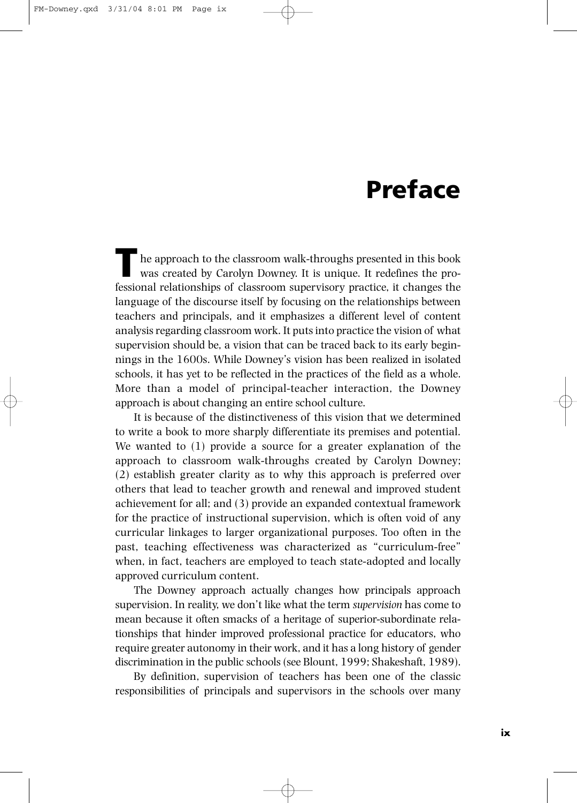## **Preface**

he approach to the classroom walk-throughs presented in this book was created by Carolyn Downey. It is unique. It redefines the professional relationships of classroom supervisory practice, it changes the language of the discourse itself by focusing on the relationships between teachers and principals, and it emphasizes a different level of content analysis regarding classroom work. It puts into practice the vision of what supervision should be, a vision that can be traced back to its early beginnings in the 1600s. While Downey's vision has been realized in isolated schools, it has yet to be reflected in the practices of the field as a whole. More than a model of principal-teacher interaction, the Downey approach is about changing an entire school culture.

It is because of the distinctiveness of this vision that we determined to write a book to more sharply differentiate its premises and potential. We wanted to (1) provide a source for a greater explanation of the approach to classroom walk-throughs created by Carolyn Downey; (2) establish greater clarity as to why this approach is preferred over others that lead to teacher growth and renewal and improved student achievement for all; and (3) provide an expanded contextual framework for the practice of instructional supervision, which is often void of any curricular linkages to larger organizational purposes. Too often in the past, teaching effectiveness was characterized as "curriculum-free" when, in fact, teachers are employed to teach state-adopted and locally approved curriculum content.

The Downey approach actually changes how principals approach supervision. In reality, we don't like what the term *supervision* has come to mean because it often smacks of a heritage of superior-subordinate relationships that hinder improved professional practice for educators, who require greater autonomy in their work, and it has a long history of gender discrimination in the public schools (see Blount, 1999; Shakeshaft, 1989).

By definition, supervision of teachers has been one of the classic responsibilities of principals and supervisors in the schools over many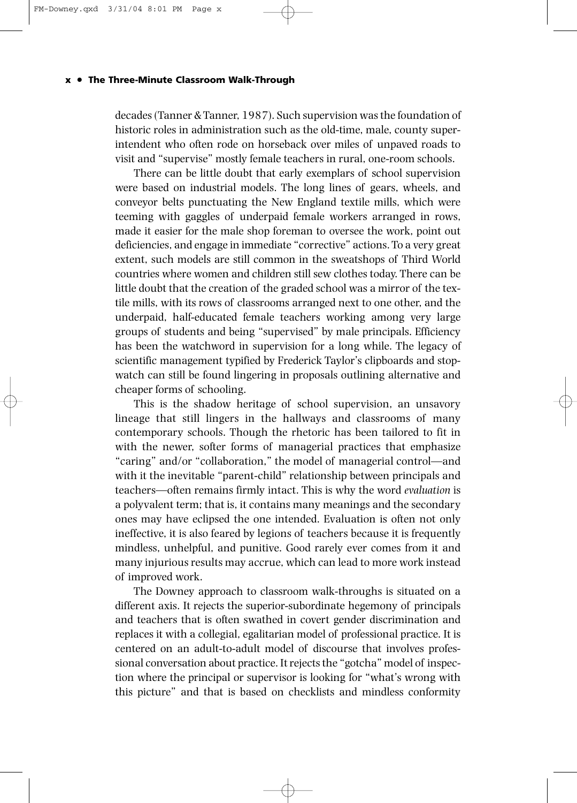## **x • The Three-Minute Classroom Walk-Through**

decades (Tanner & Tanner, 1987). Such supervision was the foundation of historic roles in administration such as the old-time, male, county superintendent who often rode on horseback over miles of unpaved roads to visit and "supervise" mostly female teachers in rural, one-room schools.

There can be little doubt that early exemplars of school supervision were based on industrial models. The long lines of gears, wheels, and conveyor belts punctuating the New England textile mills, which were teeming with gaggles of underpaid female workers arranged in rows, made it easier for the male shop foreman to oversee the work, point out deficiencies, and engage in immediate "corrective" actions. To a very great extent, such models are still common in the sweatshops of Third World countries where women and children still sew clothes today. There can be little doubt that the creation of the graded school was a mirror of the textile mills, with its rows of classrooms arranged next to one other, and the underpaid, half-educated female teachers working among very large groups of students and being "supervised" by male principals. Efficiency has been the watchword in supervision for a long while. The legacy of scientific management typified by Frederick Taylor's clipboards and stopwatch can still be found lingering in proposals outlining alternative and cheaper forms of schooling.

This is the shadow heritage of school supervision, an unsavory lineage that still lingers in the hallways and classrooms of many contemporary schools. Though the rhetoric has been tailored to fit in with the newer, softer forms of managerial practices that emphasize "caring" and/or "collaboration," the model of managerial control—and with it the inevitable "parent-child" relationship between principals and teachers—often remains firmly intact. This is why the word *evaluation* is a polyvalent term; that is, it contains many meanings and the secondary ones may have eclipsed the one intended. Evaluation is often not only ineffective, it is also feared by legions of teachers because it is frequently mindless, unhelpful, and punitive. Good rarely ever comes from it and many injurious results may accrue, which can lead to more work instead of improved work.

The Downey approach to classroom walk-throughs is situated on a different axis. It rejects the superior-subordinate hegemony of principals and teachers that is often swathed in covert gender discrimination and replaces it with a collegial, egalitarian model of professional practice. It is centered on an adult-to-adult model of discourse that involves professional conversation about practice. It rejects the "gotcha" model of inspection where the principal or supervisor is looking for "what's wrong with this picture" and that is based on checklists and mindless conformity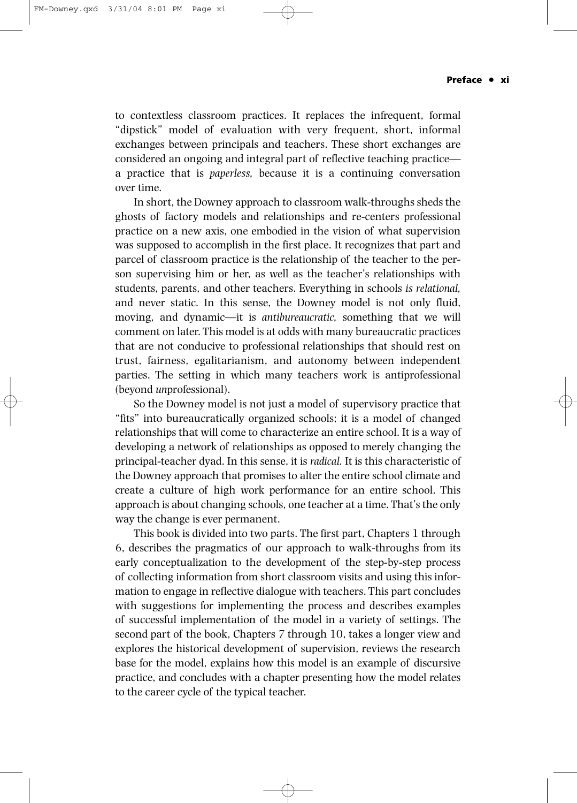to contextless classroom practices. It replaces the infrequent, formal "dipstick" model of evaluation with very frequent, short, informal exchanges between principals and teachers. These short exchanges are considered an ongoing and integral part of reflective teaching practice a practice that is *paperless,* because it is a continuing conversation over time.

In short, the Downey approach to classroom walk-throughs sheds the ghosts of factory models and relationships and re-centers professional practice on a new axis, one embodied in the vision of what supervision was supposed to accomplish in the first place. It recognizes that part and parcel of classroom practice is the relationship of the teacher to the person supervising him or her, as well as the teacher's relationships with students, parents, and other teachers. Everything in schools *is relational,* and never static. In this sense, the Downey model is not only fluid, moving, and dynamic—it is *antibureaucratic,* something that we will comment on later. This model is at odds with many bureaucratic practices that are not conducive to professional relationships that should rest on trust, fairness, egalitarianism, and autonomy between independent parties. The setting in which many teachers work is antiprofessional (beyond *un*professional).

So the Downey model is not just a model of supervisory practice that "fits" into bureaucratically organized schools; it is a model of changed relationships that will come to characterize an entire school. It is a way of developing a network of relationships as opposed to merely changing the principal-teacher dyad. In this sense, it is *radical.* It is this characteristic of the Downey approach that promises to alter the entire school climate and create a culture of high work performance for an entire school. This approach is about changing schools, one teacher at a time. That's the only way the change is ever permanent.

This book is divided into two parts. The first part, Chapters 1 through 6, describes the pragmatics of our approach to walk-throughs from its early conceptualization to the development of the step-by-step process of collecting information from short classroom visits and using this information to engage in reflective dialogue with teachers. This part concludes with suggestions for implementing the process and describes examples of successful implementation of the model in a variety of settings. The second part of the book, Chapters 7 through 10, takes a longer view and explores the historical development of supervision, reviews the research base for the model, explains how this model is an example of discursive practice, and concludes with a chapter presenting how the model relates to the career cycle of the typical teacher.